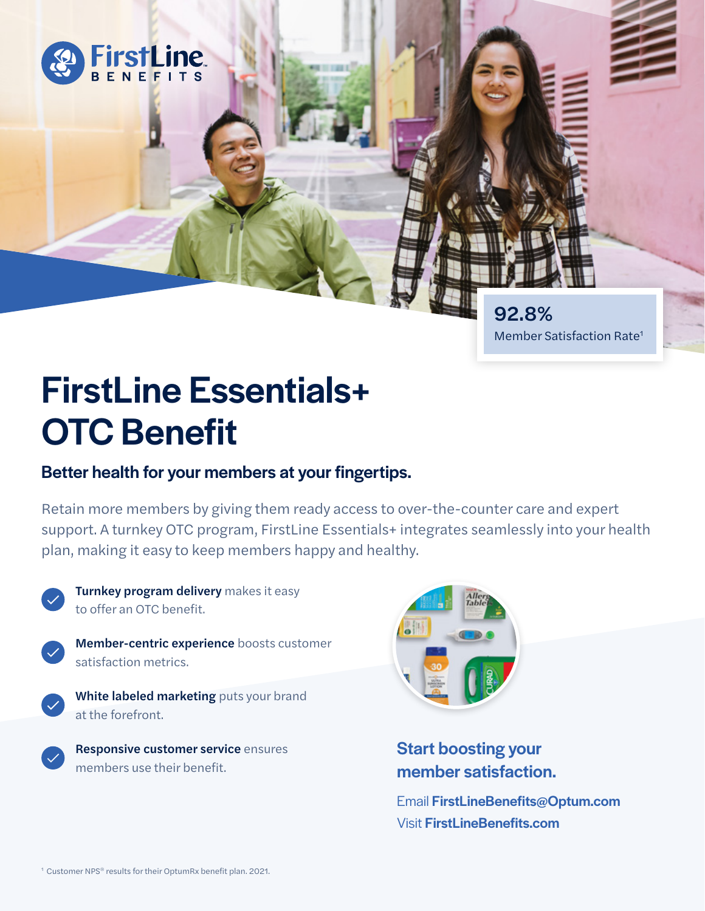

Member Satisfaction Rate1

# FirstLine Essentials+ OTC Benefit

### Better health for your members at your fingertips.

Retain more members by giving them ready access to over-the-counter care and expert support. A turnkey OTC program, FirstLine Essentials+ integrates seamlessly into your health plan, making it easy to keep members happy and healthy.



Turnkey program delivery makes it easy to offer an OTC benefit.



Member-centric experience boosts customer satisfaction metrics.

White labeled marketing puts your brand at the forefront.

Responsive customer service ensures members use their benefit.



## Start boosting your member satisfaction.

Email FirstLineBenefits@Optum.com Visit FirstLineBenefits.com